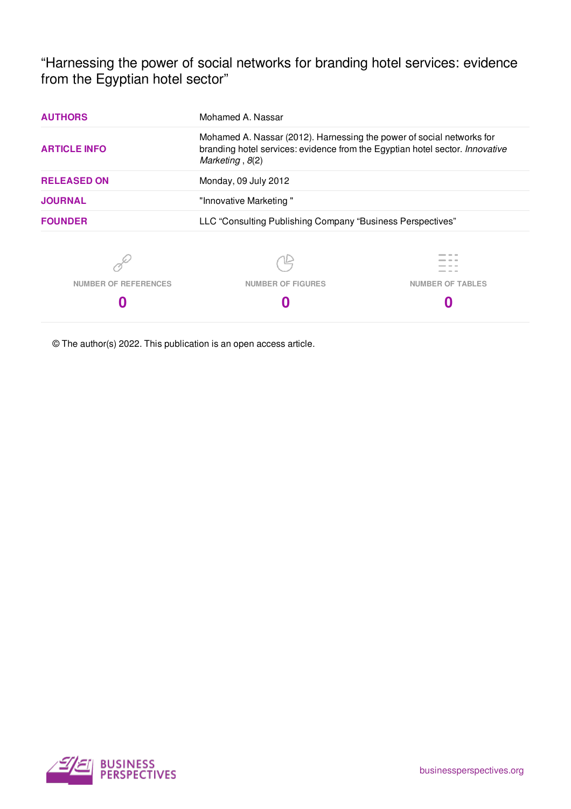"Harnessing the power of social networks for branding hotel services: evidence from the Egyptian hotel sector"

| <b>AUTHORS</b>              | Mohamed A. Nassar                                                                                                                                                          |                         |  |  |  |  |  |
|-----------------------------|----------------------------------------------------------------------------------------------------------------------------------------------------------------------------|-------------------------|--|--|--|--|--|
| <b>ARTICLE INFO</b>         | Mohamed A. Nassar (2012). Harnessing the power of social networks for<br>branding hotel services: evidence from the Egyptian hotel sector. Innovative<br>Marketing, $8(2)$ |                         |  |  |  |  |  |
| <b>RELEASED ON</b>          | Monday, 09 July 2012                                                                                                                                                       |                         |  |  |  |  |  |
| <b>JOURNAL</b>              | "Innovative Marketing"                                                                                                                                                     |                         |  |  |  |  |  |
| <b>FOUNDER</b>              | LLC "Consulting Publishing Company "Business Perspectives"                                                                                                                 |                         |  |  |  |  |  |
|                             |                                                                                                                                                                            |                         |  |  |  |  |  |
| <b>NUMBER OF REFERENCES</b> | <b>NUMBER OF FIGURES</b>                                                                                                                                                   | <b>NUMBER OF TABLES</b> |  |  |  |  |  |
|                             |                                                                                                                                                                            |                         |  |  |  |  |  |
|                             |                                                                                                                                                                            |                         |  |  |  |  |  |

© The author(s) 2022. This publication is an open access article.

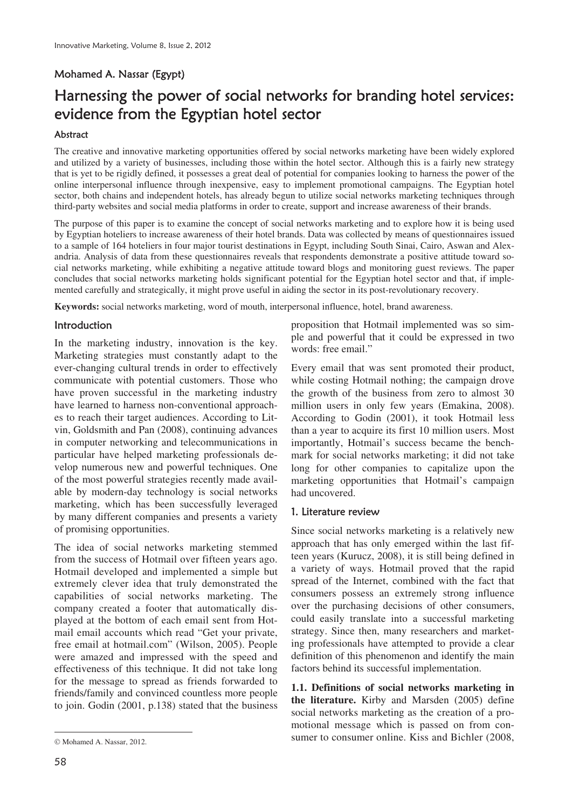# Mohamed A. Nassar (Egypt)

# Harnessing the power of social networks for branding hotel services: evidence from the Egyptian hotel sector

## Abstract

The creative and innovative marketing opportunities offered by social networks marketing have been widely explored and utilized by a variety of businesses, including those within the hotel sector. Although this is a fairly new strategy that is yet to be rigidly defined, it possesses a great deal of potential for companies looking to harness the power of the online interpersonal influence through inexpensive, easy to implement promotional campaigns. The Egyptian hotel sector, both chains and independent hotels, has already begun to utilize social networks marketing techniques through third-party websites and social media platforms in order to create, support and increase awareness of their brands.

The purpose of this paper is to examine the concept of social networks marketing and to explore how it is being used by Egyptian hoteliers to increase awareness of their hotel brands. Data was collected by means of questionnaires issued to a sample of 164 hoteliers in four major tourist destinations in Egypt, including South Sinai, Cairo, Aswan and Alexandria. Analysis of data from these questionnaires reveals that respondents demonstrate a positive attitude toward social networks marketing, while exhibiting a negative attitude toward blogs and monitoring guest reviews. The paper concludes that social networks marketing holds significant potential for the Egyptian hotel sector and that, if implemented carefully and strategically, it might prove useful in aiding the sector in its post-revolutionary recovery.

**Keywords:** social networks marketing, word of mouth, interpersonal influence, hotel, brand awareness.

## Introduction

In the marketing industry, innovation is the key. Marketing strategies must constantly adapt to the ever-changing cultural trends in order to effectively communicate with potential customers. Those who have proven successful in the marketing industry have learned to harness non-conventional approaches to reach their target audiences. According to Litvin, Goldsmith and Pan (2008), continuing advances in computer networking and telecommunications in particular have helped marketing professionals develop numerous new and powerful techniques. One of the most powerful strategies recently made available by modern-day technology is social networks marketing, which has been successfully leveraged by many different companies and presents a variety of promising opportunities.

The idea of social networks marketing stemmed from the success of Hotmail over fifteen years ago. Hotmail developed and implemented a simple but extremely clever idea that truly demonstrated the capabilities of social networks marketing. The company created a footer that automatically displayed at the bottom of each email sent from Hotmail email accounts which read "Get your private, free email at hotmail.com" (Wilson, 2005). People were amazed and impressed with the speed and effectiveness of this technique. It did not take long for the message to spread as friends forwarded to friends/family and convinced countless more people to join. Godin (2001, p.138) stated that the business

proposition that Hotmail implemented was so simple and powerful that it could be expressed in two words: free email."

Every email that was sent promoted their product, while costing Hotmail nothing; the campaign drove the growth of the business from zero to almost 30 million users in only few years (Emakina, 2008). According to Godin (2001), it took Hotmail less than a year to acquire its first 10 million users. Most importantly, Hotmail's success became the benchmark for social networks marketing; it did not take long for other companies to capitalize upon the marketing opportunities that Hotmail's campaign had uncovered.

#### 1. Literature review

Since social networks marketing is a relatively new approach that has only emerged within the last fifteen years (Kurucz, 2008), it is still being defined in a variety of ways. Hotmail proved that the rapid spread of the Internet, combined with the fact that consumers possess an extremely strong influence over the purchasing decisions of other consumers, could easily translate into a successful marketing strategy. Since then, many researchers and marketing professionals have attempted to provide a clear definition of this phenomenon and identify the main factors behind its successful implementation.

**1.1. Definitions of social networks marketing in the literature.** Kirby and Marsden (2005) define social networks marketing as the creation of a promotional message which is passed on from consumer to consumer online. Kiss and Bichler (2008,

 $\overline{a}$ 

 $©$  Mohamed A. Nassar, 2012.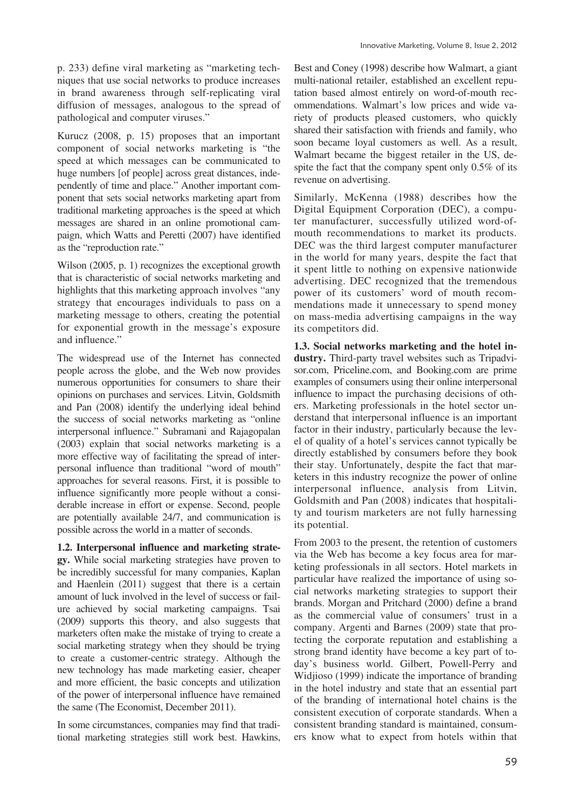Kurucz (2008, p. 15) proposes that an important component of social networks marketing is "the speed at which messages can be communicated to huge numbers [of people] across great distances, independently of time and place." Another important component that sets social networks marketing apart from traditional marketing approaches is the speed at which messages are shared in an online promotional campaign, which Watts and Peretti (2007) have identified as the "reproduction rate."

Wilson (2005, p. 1) recognizes the exceptional growth that is characteristic of social networks marketing and highlights that this marketing approach involves "any strategy that encourages individuals to pass on a marketing message to others, creating the potential for exponential growth in the message's exposure and influence."

The widespread use of the Internet has connected people across the globe, and the Web now provides numerous opportunities for consumers to share their opinions on purchases and services. Litvin, Goldsmith and Pan (2008) identify the underlying ideal behind the success of social networks marketing as "online interpersonal influence." Subramani and Rajagopalan (2003) explain that social networks marketing is a more effective way of facilitating the spread of interpersonal influence than traditional "word of mouth" approaches for several reasons. First, it is possible to influence significantly more people without a considerable increase in effort or expense. Second, people are potentially available 24/7, and communication is possible across the world in a matter of seconds.

**1.2. Interpersonal influence and marketing strategy.** While social marketing strategies have proven to be incredibly successful for many companies, Kaplan and Haenlein (2011) suggest that there is a certain amount of luck involved in the level of success or failure achieved by social marketing campaigns. Tsai (2009) supports this theory, and also suggests that marketers often make the mistake of trying to create a social marketing strategy when they should be trying to create a customer-centric strategy. Although the new technology has made marketing easier, cheaper and more efficient, the basic concepts and utilization of the power of interpersonal influence have remained the same (The Economist, December 2011).

In some circumstances, companies may find that traditional marketing strategies still work best. Hawkins, Best and Coney (1998) describe how Walmart, a giant multi-national retailer, established an excellent reputation based almost entirely on word-of-mouth recommendations. Walmart's low prices and wide variety of products pleased customers, who quickly shared their satisfaction with friends and family, who soon became loyal customers as well. As a result, Walmart became the biggest retailer in the US, despite the fact that the company spent only 0.5% of its revenue on advertising.

Similarly, McKenna (1988) describes how the Digital Equipment Corporation (DEC), a computer manufacturer, successfully utilized word-ofmouth recommendations to market its products. DEC was the third largest computer manufacturer in the world for many years, despite the fact that it spent little to nothing on expensive nationwide advertising. DEC recognized that the tremendous power of its customers' word of mouth recommendations made it unnecessary to spend money on mass-media advertising campaigns in the way its competitors did.

**1.3. Social networks marketing and the hotel industry.** Third-party travel websites such as Tripadvisor.com, Priceline.com, and Booking.com are prime examples of consumers using their online interpersonal influence to impact the purchasing decisions of others. Marketing professionals in the hotel sector understand that interpersonal influence is an important factor in their industry, particularly because the level of quality of a hotel's services cannot typically be directly established by consumers before they book their stay. Unfortunately, despite the fact that marketers in this industry recognize the power of online interpersonal influence, analysis from Litvin, Goldsmith and Pan (2008) indicates that hospitality and tourism marketers are not fully harnessing its potential.

From 2003 to the present, the retention of customers via the Web has become a key focus area for marketing professionals in all sectors. Hotel markets in particular have realized the importance of using social networks marketing strategies to support their brands. Morgan and Pritchard (2000) define a brand as the commercial value of consumers' trust in a company. Argenti and Barnes (2009) state that protecting the corporate reputation and establishing a strong brand identity have become a key part of today's business world. Gilbert, Powell-Perry and Widjioso (1999) indicate the importance of branding in the hotel industry and state that an essential part of the branding of international hotel chains is the consistent execution of corporate standards. When a consistent branding standard is maintained, consumers know what to expect from hotels within that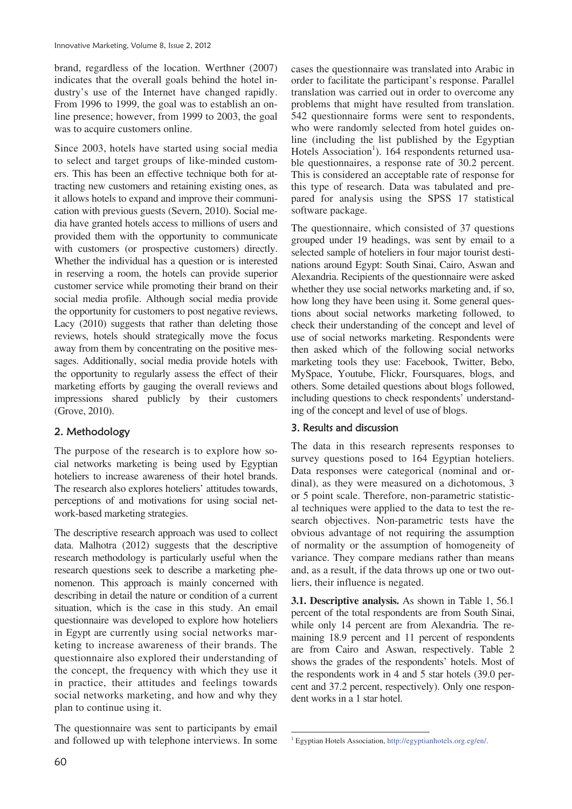brand, regardless of the location. Werthner (2007) indicates that the overall goals behind the hotel industry's use of the Internet have changed rapidly. From 1996 to 1999, the goal was to establish an online presence; however, from 1999 to 2003, the goal was to acquire customers online.

Since 2003, hotels have started using social media to select and target groups of like-minded customers. This has been an effective technique both for attracting new customers and retaining existing ones, as it allows hotels to expand and improve their communication with previous guests (Severn, 2010). Social media have granted hotels access to millions of users and provided them with the opportunity to communicate with customers (or prospective customers) directly. Whether the individual has a question or is interested in reserving a room, the hotels can provide superior customer service while promoting their brand on their social media profile. Although social media provide the opportunity for customers to post negative reviews, Lacy (2010) suggests that rather than deleting those reviews, hotels should strategically move the focus away from them by concentrating on the positive messages. Additionally, social media provide hotels with the opportunity to regularly assess the effect of their marketing efforts by gauging the overall reviews and impressions shared publicly by their customers (Grove, 2010).

## 2. Methodology

The purpose of the research is to explore how social networks marketing is being used by Egyptian hoteliers to increase awareness of their hotel brands. The research also explores hoteliers' attitudes towards, perceptions of and motivations for using social network-based marketing strategies.

The descriptive research approach was used to collect data. Malhotra (2012) suggests that the descriptive research methodology is particularly useful when the research questions seek to describe a marketing phenomenon. This approach is mainly concerned with describing in detail the nature or condition of a current situation, which is the case in this study. An email questionnaire was developed to explore how hoteliers in Egypt are currently using social networks marketing to increase awareness of their brands. The questionnaire also explored their understanding of the concept, the frequency with which they use it in practice, their attitudes and feelings towards social networks marketing, and how and why they plan to continue using it.

The questionnaire was sent to participants by email and followed up with telephone interviews. In some cases the questionnaire was translated into Arabic in order to facilitate the participant's response. Parallel translation was carried out in order to overcome any problems that might have resulted from translation. 542 questionnaire forms were sent to respondents, who were randomly selected from hotel guides online (including the list published by the Egyptian Hotels Association<sup>1</sup>). 164 respondents returned usable questionnaires, a response rate of 30.2 percent. This is considered an acceptable rate of response for this type of research. Data was tabulated and prepared for analysis using the SPSS 17 statistical software package.

The questionnaire, which consisted of 37 questions grouped under 19 headings, was sent by email to a selected sample of hoteliers in four major tourist destinations around Egypt: South Sinai, Cairo, Aswan and Alexandria. Recipients of the questionnaire were asked whether they use social networks marketing and, if so, how long they have been using it. Some general questions about social networks marketing followed, to check their understanding of the concept and level of use of social networks marketing. Respondents were then asked which of the following social networks marketing tools they use: Facebook, Twitter, Bebo, MySpace, Youtube, Flickr, Foursquares, blogs, and others. Some detailed questions about blogs followed, including questions to check respondents' understanding of the concept and level of use of blogs.

## 3. Results and discussion

The data in this research represents responses to survey questions posed to 164 Egyptian hoteliers. Data responses were categorical (nominal and ordinal), as they were measured on a dichotomous, 3 or 5 point scale. Therefore, non-parametric statistical techniques were applied to the data to test the research objectives. Non-parametric tests have the obvious advantage of not requiring the assumption of normality or the assumption of homogeneity of variance. They compare medians rather than means and, as a result, if the data throws up one or two outliers, their influence is negated.

**3.1. Descriptive analysis.** As shown in Table 1, 56.1 percent of the total respondents are from South Sinai, while only 14 percent are from Alexandria. The remaining 18.9 percent and 11 percent of respondents are from Cairo and Aswan, respectively. Table 2 shows the grades of the respondents' hotels. Most of the respondents work in 4 and 5 star hotels (39.0 percent and 37.2 percent, respectively). Only one respondent works in a 1 star hotel.

<sup>&</sup>lt;u>.</u> <sup>1</sup> Egyptian Hotels Association, http://egyptianhotels.org.eg/en/.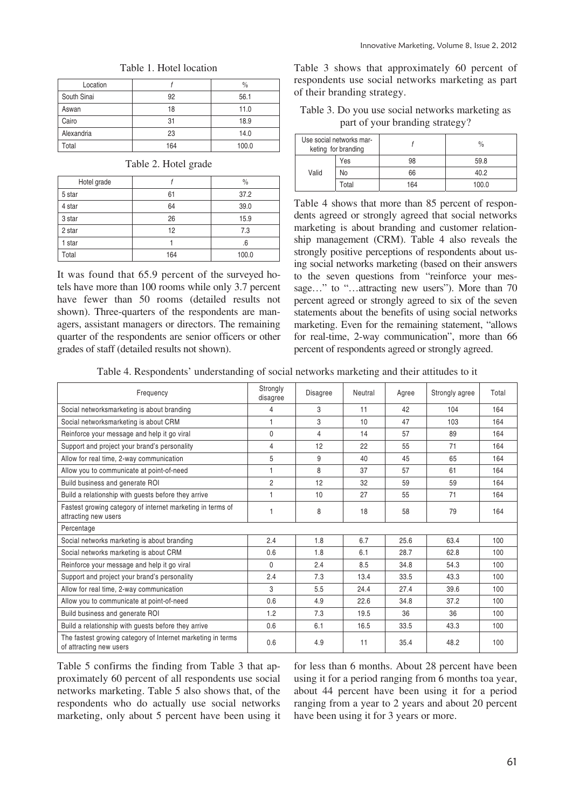| Location    |     | $\frac{0}{0}$ |
|-------------|-----|---------------|
| South Sinai | 92  | 56.1          |
| Aswan       | 18  | 11.0          |
| Cairo       | 31  | 18.9          |
| Alexandria  | 23  | 14.0          |
| Total       | 164 | 100.0         |

## Table 1. Hotel location

### Table 2. Hotel grade

| Hotel grade |     | $\frac{0}{0}$ |
|-------------|-----|---------------|
| 5 star      | 61  | 37.2          |
| 4 star      | 64  | 39.0          |
| 3 star      | 26  | 15.9          |
| 2 star      | 12  | 7.3           |
| 1 star      |     | .6            |
| Total       | 164 | 100.0         |

It was found that 65.9 percent of the surveyed hotels have more than 100 rooms while only 3.7 percent have fewer than 50 rooms (detailed results not shown). Three-quarters of the respondents are managers, assistant managers or directors. The remaining quarter of the respondents are senior officers or other grades of staff (detailed results not shown).

Table 3 shows that approximately 60 percent of respondents use social networks marketing as part of their branding strategy.

Table 3. Do you use social networks marketing as part of your branding strategy?

|       | Use social networks mar-<br>keting for branding |     | $\frac{0}{0}$ |
|-------|-------------------------------------------------|-----|---------------|
|       | Yes                                             | 98  | 59.8          |
| Valid | No                                              | 66  | 40.2          |
|       | Total                                           | 164 | 100.0         |

Table 4 shows that more than 85 percent of respondents agreed or strongly agreed that social networks marketing is about branding and customer relationship management (CRM). Table 4 also reveals the strongly positive perceptions of respondents about using social networks marketing (based on their answers to the seven questions from "reinforce your message..." to "...attracting new users"). More than 70 percent agreed or strongly agreed to six of the seven statements about the benefits of using social networks marketing. Even for the remaining statement, "allows for real-time, 2-way communication", more than 66 percent of respondents agreed or strongly agreed.

Table 4. Respondents' understanding of social networks marketing and their attitudes to it

| Frequency                                                                              | Strongly<br>disagree | <b>Disagree</b> | Neutral | Agree | Strongly agree | Total |
|----------------------------------------------------------------------------------------|----------------------|-----------------|---------|-------|----------------|-------|
| Social networksmarketing is about branding                                             | 4                    | 3               | 11      | 42    | 104            | 164   |
| Social networksmarketing is about CRM                                                  | 1                    | 3               | 10      | 47    | 103            | 164   |
| Reinforce your message and help it go viral                                            | $\mathbf{0}$         | 4               | 14      | 57    | 89             | 164   |
| Support and project your brand's personality                                           | 4                    | 12              | 22      | 55    | 71             | 164   |
| Allow for real time, 2-way communication                                               | 5                    | 9               | 40      | 45    | 65             | 164   |
| Allow you to communicate at point-of-need                                              | 1                    | 8               | 37      | 57    | 61             | 164   |
| Build business and generate ROI                                                        | $\overline{c}$       | 12              | 32      | 59    | 59             | 164   |
| Build a relationship with guests before they arrive                                    |                      | 10              | 27      | 55    | 71             | 164   |
| Fastest growing category of internet marketing in terms of<br>attracting new users     |                      | 8               | 18      | 58    | 79             | 164   |
| Percentage                                                                             |                      |                 |         |       |                |       |
| Social networks marketing is about branding                                            | 2.4                  | 1.8             | 6.7     | 25.6  | 63.4           | 100   |
| Social networks marketing is about CRM                                                 | 0.6                  | 1.8             | 6.1     | 28.7  | 62.8           | 100   |
| Reinforce your message and help it go viral                                            | $\mathbf{0}$         | 2.4             | 8.5     | 34.8  | 54.3           | 100   |
| Support and project your brand's personality                                           | 2.4                  | 7.3             | 13.4    | 33.5  | 43.3           | 100   |
| Allow for real time, 2-way communication                                               | 3                    | 5.5             | 24.4    | 27.4  | 39.6           | 100   |
| Allow you to communicate at point-of-need                                              | 0.6                  | 4.9             | 22.6    | 34.8  | 37.2           | 100   |
| Build business and generate ROI                                                        | 1.2                  | 7.3             | 19.5    | 36    | 36             | 100   |
| Build a relationship with guests before they arrive                                    | 0.6                  | 6.1             | 16.5    | 33.5  | 43.3           | 100   |
| The fastest growing category of Internet marketing in terms<br>of attracting new users | 0.6                  | 4.9             | 11      | 35.4  | 48.2           | 100   |

Table 5 confirms the finding from Table 3 that approximately 60 percent of all respondents use social networks marketing. Table 5 also shows that, of the respondents who do actually use social networks marketing, only about 5 percent have been using it for less than 6 months. About 28 percent have been using it for a period ranging from 6 months toa year, about 44 percent have been using it for a period ranging from a year to 2 years and about 20 percent have been using it for 3 years or more.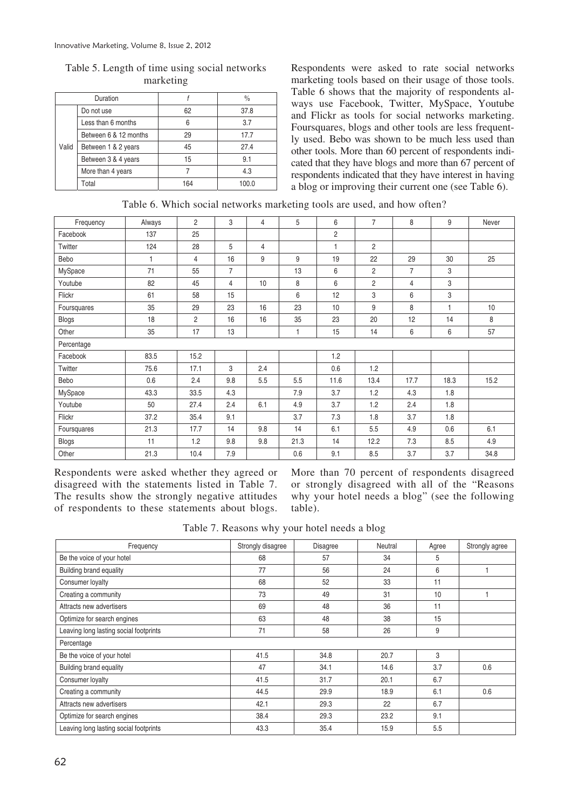|       | Duration              |     | $\frac{0}{0}$ |
|-------|-----------------------|-----|---------------|
|       | Do not use            | 62  | 37.8          |
|       | Less than 6 months    | 6   | 3.7           |
|       | Between 6 & 12 months | 29  | 17.7          |
| Valid | Between 1 & 2 years   | 45  | 27.4          |
|       | Between 3 & 4 years   | 15  | 9.1           |
|       | More than 4 years     |     | 4.3           |
|       | Total                 | 164 | 100.0         |

Table 5. Length of time using social networks marketing

Respondents were asked to rate social networks marketing tools based on their usage of those tools. Table 6 shows that the majority of respondents always use Facebook, Twitter, MySpace, Youtube and Flickr as tools for social networks marketing. Foursquares, blogs and other tools are less frequently used. Bebo was shown to be much less used than other tools. More than 60 percent of respondents indicated that they have blogs and more than 67 percent of respondents indicated that they have interest in having a blog or improving their current one (see Table 6).

|  |  |  |  | Table 6. Which social networks marketing tools are used, and how often? |  |  |  |  |  |  |
|--|--|--|--|-------------------------------------------------------------------------|--|--|--|--|--|--|
|--|--|--|--|-------------------------------------------------------------------------|--|--|--|--|--|--|

| Frequency    | Always       | $\overline{2}$ | 3              | 4              | 5    | 6              | $\overline{7}$ | 8              | 9    | Never |
|--------------|--------------|----------------|----------------|----------------|------|----------------|----------------|----------------|------|-------|
| Facebook     | 137          | 25             |                |                |      | $\overline{c}$ |                |                |      |       |
| Twitter      | 124          | 28             | 5              | $\overline{4}$ |      | 1              | $\overline{2}$ |                |      |       |
| Bebo         | $\mathbf{1}$ | $\overline{4}$ | 16             | 9              | 9    | 19             | 22             | 29             | 30   | 25    |
| MySpace      | 71           | 55             | $\overline{7}$ |                | 13   | 6              | $\overline{2}$ | $\overline{7}$ | 3    |       |
| Youtube      | 82           | 45             | 4              | 10             | 8    | 6              | $\overline{c}$ | 4              | 3    |       |
| Flickr       | 61           | 58             | 15             |                | 6    | 12             | 3              | 6              | 3    |       |
| Foursquares  | 35           | 29             | 23             | 16             | 23   | 10             | 9              | 8              | 1    | 10    |
| <b>Blogs</b> | 18           | $\overline{2}$ | 16             | 16             | 35   | 23             | 20             | 12             | 14   | 8     |
| Other        | 35           | 17             | 13             |                | 1    | 15             | 14             | 6              | 6    | 57    |
| Percentage   |              |                |                |                |      |                |                |                |      |       |
| Facebook     | 83.5         | 15.2           |                |                |      | 1.2            |                |                |      |       |
| Twitter      | 75.6         | 17.1           | 3              | 2.4            |      | 0.6            | 1.2            |                |      |       |
| Bebo         | 0.6          | 2.4            | 9.8            | 5.5            | 5.5  | 11.6           | 13.4           | 17.7           | 18.3 | 15.2  |
| MySpace      | 43.3         | 33.5           | 4.3            |                | 7.9  | 3.7            | 1.2            | 4.3            | 1.8  |       |
| Youtube      | 50           | 27.4           | 2.4            | 6.1            | 4.9  | 3.7            | 1.2            | 2.4            | 1.8  |       |
| Flickr       | 37.2         | 35.4           | 9.1            |                | 3.7  | 7.3            | 1.8            | 3.7            | 1.8  |       |
| Foursquares  | 21.3         | 17.7           | 14             | 9.8            | 14   | 6.1            | 5.5            | 4.9            | 0.6  | 6.1   |
| <b>Blogs</b> | 11           | 1.2            | 9.8            | 9.8            | 21.3 | 14             | 12.2           | 7.3            | 8.5  | 4.9   |
| Other        | 21.3         | 10.4           | 7.9            |                | 0.6  | 9.1            | 8.5            | 3.7            | 3.7  | 34.8  |

Respondents were asked whether they agreed or disagreed with the statements listed in Table 7. The results show the strongly negative attitudes of respondents to these statements about blogs.

More than 70 percent of respondents disagreed or strongly disagreed with all of the "Reasons why your hotel needs a blog" (see the following table).

Table 7. Reasons why your hotel needs a blog

| Frequency                              | Strongly disagree | Disagree | Neutral | Agree | Strongly agree |
|----------------------------------------|-------------------|----------|---------|-------|----------------|
| Be the voice of your hotel             | 68                | 57       | 34      | 5     |                |
| <b>Building brand equality</b>         | 77                | 56       | 24      | 6     |                |
| Consumer loyalty                       | 68                | 52       | 33      | 11    |                |
| Creating a community                   | 73                | 49       | 31      | 10    |                |
| Attracts new advertisers               | 69                | 48       | 36      | 11    |                |
| Optimize for search engines            | 63                | 48       | 38      | 15    |                |
| Leaving long lasting social footprints | 71                | 58       | 26      | 9     |                |
| Percentage                             |                   |          |         |       |                |
| Be the voice of your hotel             | 41.5              | 34.8     | 20.7    | 3     |                |
| Building brand equality                | 47                | 34.1     | 14.6    | 3.7   | 0.6            |
| Consumer loyalty                       | 41.5              | 31.7     | 20.1    | 6.7   |                |
| Creating a community                   | 44.5              | 29.9     | 18.9    | 6.1   | 0.6            |
| Attracts new advertisers               | 42.1              | 29.3     | 22      | 6.7   |                |
| Optimize for search engines            | 38.4              | 29.3     | 23.2    | 9.1   |                |
| Leaving long lasting social footprints | 43.3              | 35.4     | 15.9    | 5.5   |                |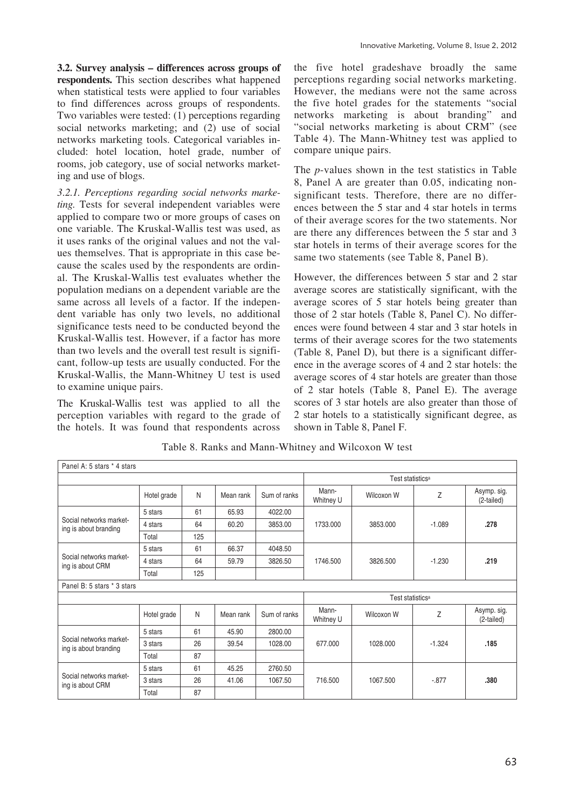**3.2. Survey analysis – differences across groups of respondents.** This section describes what happened when statistical tests were applied to four variables to find differences across groups of respondents. Two variables were tested: (1) perceptions regarding social networks marketing; and (2) use of social networks marketing tools. Categorical variables included: hotel location, hotel grade, number of rooms, job category, use of social networks marketing and use of blogs.

*3.2.1. Perceptions regarding social networks marketing.* Tests for several independent variables were applied to compare two or more groups of cases on one variable. The Kruskal-Wallis test was used, as it uses ranks of the original values and not the values themselves. That is appropriate in this case because the scales used by the respondents are ordinal. The Kruskal-Wallis test evaluates whether the population medians on a dependent variable are the same across all levels of a factor. If the independent variable has only two levels, no additional significance tests need to be conducted beyond the Kruskal-Wallis test. However, if a factor has more than two levels and the overall test result is significant, follow-up tests are usually conducted. For the Kruskal-Wallis, the Mann-Whitney U test is used to examine unique pairs.

The Kruskal-Wallis test was applied to all the perception variables with regard to the grade of the hotels. It was found that respondents across

the five hotel gradeshave broadly the same perceptions regarding social networks marketing. However, the medians were not the same across the five hotel grades for the statements "social networks marketing is about branding" and "social networks marketing is about CRM" (see Table 4). The Mann-Whitney test was applied to compare unique pairs.

The *p*-values shown in the test statistics in Table 8, Panel A are greater than 0.05, indicating nonsignificant tests. Therefore, there are no differences between the 5 star and 4 star hotels in terms of their average scores for the two statements. Nor are there any differences between the 5 star and 3 star hotels in terms of their average scores for the same two statements (see Table 8, Panel B).

However, the differences between 5 star and 2 star average scores are statistically significant, with the average scores of 5 star hotels being greater than those of 2 star hotels (Table 8, Panel C). No differences were found between 4 star and 3 star hotels in terms of their average scores for the two statements (Table 8, Panel D), but there is a significant difference in the average scores of 4 and 2 star hotels: the average scores of 4 star hotels are greater than those of 2 star hotels (Table 8, Panel E). The average scores of 3 star hotels are also greater than those of 2 star hotels to a statistically significant degree, as shown in Table 8, Panel F.

| Panel A: 5 stars * 4 stars                       |             |     |           |              |                              |                              |          |                           |  |
|--------------------------------------------------|-------------|-----|-----------|--------------|------------------------------|------------------------------|----------|---------------------------|--|
|                                                  |             |     |           |              | Test statistics <sup>a</sup> |                              |          |                           |  |
|                                                  | Hotel grade | N   | Mean rank | Sum of ranks | Mann-<br>Whitney U           | Wilcoxon W                   | Ζ        | Asymp. sig.<br>(2-tailed) |  |
|                                                  | 5 stars     | 61  | 65.93     | 4022.00      |                              |                              |          |                           |  |
| Social networks market-<br>ing is about branding | 4 stars     | 64  | 60.20     | 3853.00      | 1733.000                     | 3853.000                     | $-1.089$ | .278                      |  |
|                                                  | Total       | 125 |           |              |                              |                              |          |                           |  |
|                                                  | 5 stars     | 61  | 66.37     | 4048.50      |                              |                              |          |                           |  |
| Social networks market-<br>ing is about CRM      | 4 stars     | 64  | 59.79     | 3826.50      | 1746.500                     | 3826.500                     | $-1.230$ | .219                      |  |
|                                                  | Total       | 125 |           |              |                              |                              |          |                           |  |
| Panel B: 5 stars * 3 stars                       |             |     |           |              |                              |                              |          |                           |  |
|                                                  |             |     |           |              |                              | Test statistics <sup>a</sup> |          |                           |  |
|                                                  | Hotel grade | N   | Mean rank | Sum of ranks | Mann-<br>Whitney U           | Wilcoxon W                   | Ζ        | Asymp. sig.<br>(2-tailed) |  |
|                                                  | 5 stars     | 61  | 45.90     | 2800.00      |                              |                              |          |                           |  |
| Social networks market-<br>ing is about branding | 3 stars     | 26  | 39.54     | 1028.00      | 677.000                      | 1028.000                     | $-1.324$ | .185                      |  |
|                                                  | Total       | 87  |           |              |                              |                              |          |                           |  |
|                                                  | 5 stars     | 61  | 45.25     | 2760.50      |                              |                              |          |                           |  |
| Social networks market-<br>ing is about CRM      | 3 stars     | 26  | 41.06     | 1067.50      | 716.500                      | 1067.500                     | $-0.877$ | .380                      |  |
|                                                  | Total       | 87  |           |              |                              |                              |          |                           |  |

Table 8. Ranks and Mann-Whitney and Wilcoxon W test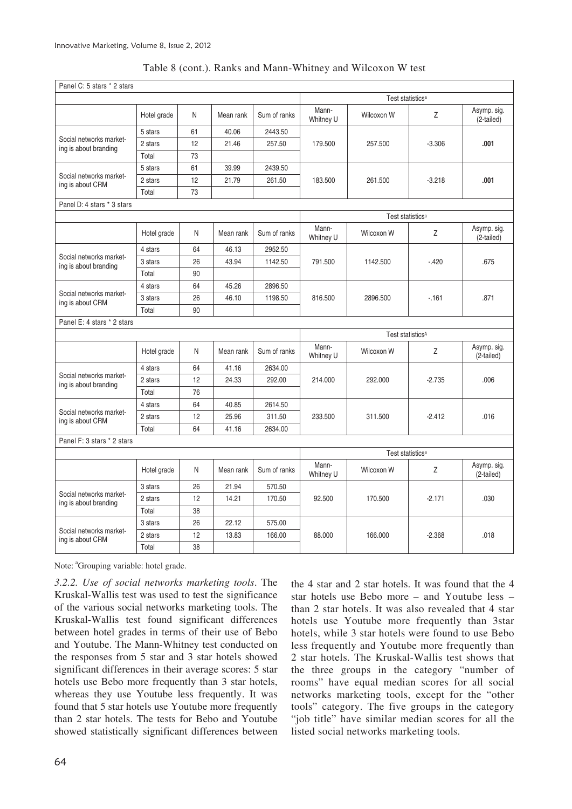|  |  |  |  | Table 8 (cont.). Ranks and Mann-Whitney and Wilcoxon W test |  |
|--|--|--|--|-------------------------------------------------------------|--|
|  |  |  |  |                                                             |  |

| Panel C: 5 stars * 2 stars                       |             |    |           |              |                    |                              |          |                           |
|--------------------------------------------------|-------------|----|-----------|--------------|--------------------|------------------------------|----------|---------------------------|
|                                                  |             |    |           |              |                    | Test statistics <sup>a</sup> |          |                           |
|                                                  | Hotel grade | N  | Mean rank | Sum of ranks | Mann-<br>Whitney U | Wilcoxon W                   | Z        | Asymp. sig.<br>(2-tailed) |
|                                                  | 5 stars     | 61 | 40.06     | 2443.50      |                    |                              |          |                           |
| Social networks market-<br>ing is about branding | 2 stars     | 12 | 21.46     | 257.50       | 179.500            | 257.500                      | $-3.306$ | .001                      |
|                                                  | Total       | 73 |           |              |                    |                              |          |                           |
|                                                  | 5 stars     | 61 | 39.99     | 2439.50      |                    |                              |          |                           |
| Social networks market-<br>ing is about CRM      | 2 stars     | 12 | 21.79     | 261.50       | 183.500            | 261.500                      | $-3.218$ | .001                      |
|                                                  | Total       | 73 |           |              |                    |                              |          |                           |
| Panel D: 4 stars * 3 stars                       |             |    |           |              |                    |                              |          |                           |
|                                                  |             |    |           |              |                    | Test statistics <sup>a</sup> |          |                           |
|                                                  | Hotel grade | N  | Mean rank | Sum of ranks | Mann-<br>Whitney U | Wilcoxon W                   | Z        | Asymp. sig.<br>(2-tailed) |
|                                                  | 4 stars     | 64 | 46.13     | 2952.50      |                    |                              |          |                           |
| Social networks market-<br>ing is about branding | 3 stars     | 26 | 43.94     | 1142.50      | 791.500            | 1142.500                     | $-420$   | .675                      |
|                                                  | Total       | 90 |           |              |                    |                              |          |                           |
|                                                  | 4 stars     | 64 | 45.26     | 2896.50      |                    |                              |          | .871                      |
| Social networks market-<br>ing is about CRM      | 3 stars     | 26 | 46.10     | 1198.50      | 816.500            | 2896.500                     | $-161$   |                           |
|                                                  | Total       | 90 |           |              |                    |                              |          |                           |
| Panel E: 4 stars * 2 stars                       |             |    |           |              |                    |                              |          |                           |
|                                                  |             |    |           |              |                    | Test statistics <sup>A</sup> |          |                           |
|                                                  | Hotel grade | N  | Mean rank | Sum of ranks | Mann-<br>Whitney U | Wilcoxon W                   | Z        | Asymp. sig.<br>(2-tailed) |
|                                                  | 4 stars     | 64 | 41.16     | 2634.00      |                    |                              | $-2.735$ |                           |
| Social networks market-<br>ing is about branding | 2 stars     | 12 | 24.33     | 292.00       | 214.000            | 292.000                      |          | .006                      |
|                                                  | Total       | 76 |           |              |                    |                              |          |                           |
|                                                  | 4 stars     | 64 | 40.85     | 2614.50      |                    |                              |          |                           |
| Social networks market-<br>ing is about CRM      | 2 stars     | 12 | 25.96     | 311.50       | 233.500            | 311.500                      | $-2.412$ | .016                      |
|                                                  | Total       | 64 | 41.16     | 2634.00      |                    |                              |          |                           |
| Panel F: 3 stars * 2 stars                       |             |    |           |              |                    |                              |          |                           |
|                                                  |             |    |           |              |                    | Test statistics <sup>a</sup> |          |                           |
|                                                  | Hotel grade | N  | Mean rank | Sum of ranks | Mann-<br>Whitney U | Wilcoxon W                   | Z        | Asymp. sig.<br>(2-tailed) |
|                                                  | 3 stars     | 26 | 21.94     | 570.50       |                    |                              |          |                           |
| Social networks market-<br>ing is about branding | 2 stars     | 12 | 14.21     | 170.50       | 92.500             | 170.500                      | $-2.171$ | .030                      |
|                                                  | Total       | 38 |           |              |                    |                              |          |                           |
|                                                  | 3 stars     | 26 | 22.12     | 575.00       |                    |                              |          |                           |
| Social networks market-                          |             |    |           |              | 88,000             | 166,000                      | $-2.368$ | .018                      |
| ing is about CRM                                 | 2 stars     | 12 | 13.83     | 166.00       |                    |                              |          |                           |

Note: <sup>a</sup>Grouping variable: hotel grade.

*3.2.2. Use of social networks marketing tools*. The Kruskal-Wallis test was used to test the significance of the various social networks marketing tools. The Kruskal-Wallis test found significant differences between hotel grades in terms of their use of Bebo and Youtube. The Mann-Whitney test conducted on the responses from 5 star and 3 star hotels showed significant differences in their average scores: 5 star hotels use Bebo more frequently than 3 star hotels, whereas they use Youtube less frequently. It was found that 5 star hotels use Youtube more frequently than 2 star hotels. The tests for Bebo and Youtube showed statistically significant differences between the 4 star and 2 star hotels. It was found that the 4 star hotels use Bebo more – and Youtube less – than 2 star hotels. It was also revealed that 4 star hotels use Youtube more frequently than 3star hotels, while 3 star hotels were found to use Bebo less frequently and Youtube more frequently than 2 star hotels. The Kruskal-Wallis test shows that the three groups in the category "number of rooms" have equal median scores for all social networks marketing tools, except for the "other tools" category. The five groups in the category "job title" have similar median scores for all the listed social networks marketing tools.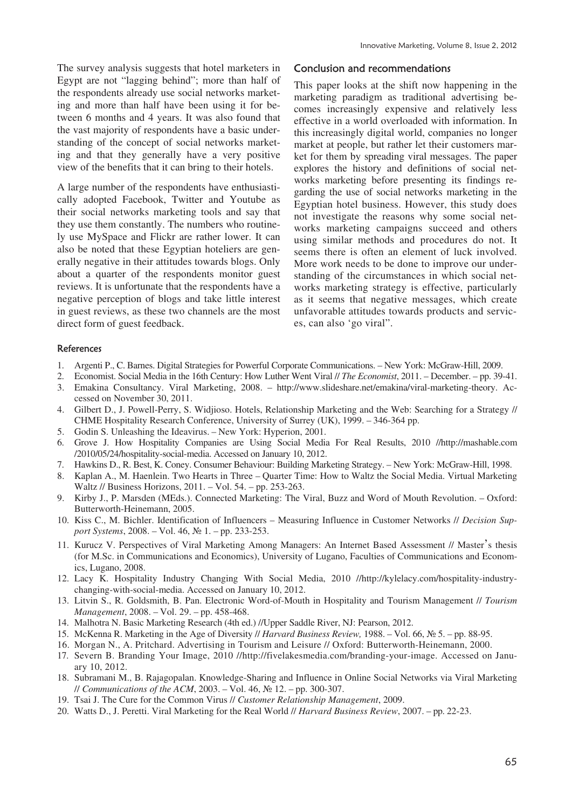The survey analysis suggests that hotel marketers in Egypt are not "lagging behind"; more than half of the respondents already use social networks marketing and more than half have been using it for between 6 months and 4 years. It was also found that the vast majority of respondents have a basic understanding of the concept of social networks marketing and that they generally have a very positive view of the benefits that it can bring to their hotels.

A large number of the respondents have enthusiastically adopted Facebook, Twitter and Youtube as their social networks marketing tools and say that they use them constantly. The numbers who routinely use MySpace and Flickr are rather lower. It can also be noted that these Egyptian hoteliers are generally negative in their attitudes towards blogs. Only about a quarter of the respondents monitor guest reviews. It is unfortunate that the respondents have a negative perception of blogs and take little interest in guest reviews, as these two channels are the most direct form of guest feedback.

### Conclusion and recommendations

This paper looks at the shift now happening in the marketing paradigm as traditional advertising becomes increasingly expensive and relatively less effective in a world overloaded with information. In this increasingly digital world, companies no longer market at people, but rather let their customers market for them by spreading viral messages. The paper explores the history and definitions of social networks marketing before presenting its findings regarding the use of social networks marketing in the Egyptian hotel business. However, this study does not investigate the reasons why some social networks marketing campaigns succeed and others using similar methods and procedures do not. It seems there is often an element of luck involved. More work needs to be done to improve our understanding of the circumstances in which social networks marketing strategy is effective, particularly as it seems that negative messages, which create unfavorable attitudes towards products and services, can also 'go viral".

#### **References**

- 1. Argenti P., C. Barnes. Digital Strategies for Powerful Corporate Communications. New York: McGraw-Hill, 2009.
- 2. Economist. Social Media in the 16th Century: How Luther Went Viral // *The Economist*, 2011. December. pp. 39-41.
- 3. Emakina Consultancy. Viral Marketing, 2008. http://www.slideshare.net/emakina/viral-marketing-theory. Accessed on November 30, 2011.
- 4. Gilbert D., J. Powell-Perry, S. Widjioso. Hotels, Relationship Marketing and the Web: Searching for a Strategy // CHME Hospitality Research Conference, University of Surrey (UK), 1999. – 346-364 pp.
- 5. Godin S. Unleashing the Ideavirus. New York: Hyperion, 2001.
- 6. Grove J. How Hospitality Companies are Using Social Media For Real Results, 2010 //http://mashable.com /2010/05/24/hospitality-social-media. Accessed on January 10, 2012.
- 7. Hawkins D., R. Best, K. Coney. Consumer Behaviour: Building Marketing Strategy. New York: McGraw-Hill, 1998.
- 8. Kaplan A., M. Haenlein. Two Hearts in Three Quarter Time: How to Waltz the Social Media. Virtual Marketing Waltz // Business Horizons, 2011. – Vol. 54. – pp. 253-263.
- 9. Kirby J., P. Marsden (MEds.). Connected Marketing: The Viral, Buzz and Word of Mouth Revolution. Oxford: Butterworth-Heinemann, 2005.
- 10. Kiss C., M. Bichler. Identification of Influencers Measuring Influence in Customer Networks // *Decision Support Systems*, 2008. – Vol. 46, № 1. – pp. 233-253.
- 11. Kurucz V. Perspectives of Viral Marketing Among Managers: An Internet Based Assessment // Master's thesis (for M.Sc. in Communications and Economics), University of Lugano, Faculties of Communications and Economics, Lugano, 2008.
- 12. Lacy K. Hospitality Industry Changing With Social Media, 2010 //http://kylelacy.com/hospitality-industrychanging-with-social-media. Accessed on January 10, 2012.
- 13. Litvin S., R. Goldsmith, B. Pan. Electronic Word-of-Mouth in Hospitality and Tourism Management // *Tourism Management*, 2008. – Vol. 29. – pp. 458-468.
- 14. Malhotra N. Basic Marketing Research (4th ed.) //Upper Saddle River, NJ: Pearson, 2012.
- 15. McKenna R. Marketing in the Age of Diversity // *Harvard Business Review,* 1988. Vol. 66, ʋ 5. pp. 88-95.
- 16. Morgan N., A. Pritchard. Advertising in Tourism and Leisure // Oxford: Butterworth-Heinemann, 2000.
- 17. Severn B. Branding Your Image, 2010 //http://fivelakesmedia.com/branding-your-image. Accessed on January 10, 2012.
- 18. Subramani M., B. Rajagopalan. Knowledge-Sharing and Influence in Online Social Networks via Viral Marketing *// Communications of the ACM*, 2003. − Vol. 46, № 12. – pp. 300-307.
- 19. Tsai J. The Cure for the Common Virus // *Customer Relationship Management*, 2009.
- 20. Watts D., J. Peretti. Viral Marketing for the Real World // *Harvard Business Review*, 2007. pp. 22-23.